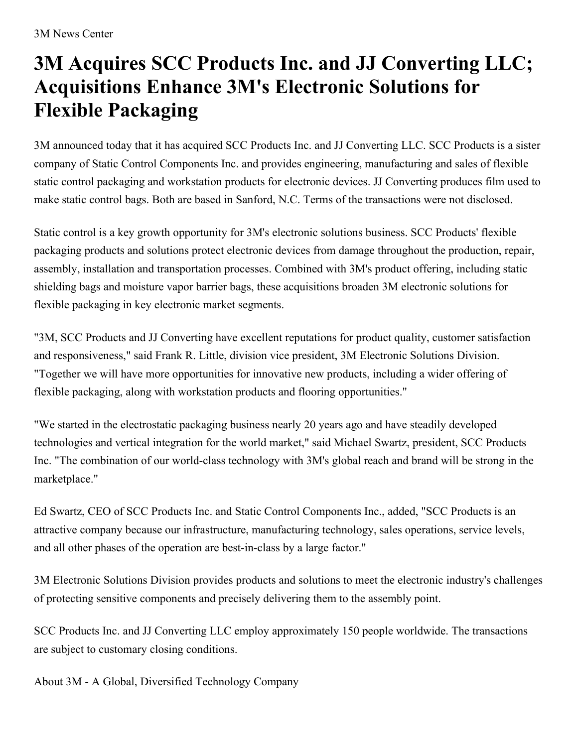## **3M Acquires SCC Products Inc. and JJ Converting LLC; Acquisitions Enhance 3M's Electronic Solutions for Flexible Packaging**

3M announced today that it has acquired SCC Products Inc. and JJ Converting LLC. SCC Products is a sister company of Static Control Components Inc. and provides engineering, manufacturing and sales of flexible static control packaging and workstation products for electronic devices. JJ Converting produces film used to make static control bags. Both are based in Sanford, N.C. Terms of the transactions were not disclosed.

Static control is a key growth opportunity for 3M's electronic solutions business. SCC Products' flexible packaging products and solutions protect electronic devices from damage throughout the production, repair, assembly, installation and transportation processes. Combined with 3M's product offering, including static shielding bags and moisture vapor barrier bags, these acquisitions broaden 3M electronic solutions for flexible packaging in key electronic market segments.

"3M, SCC Products and JJ Converting have excellent reputations for product quality, customer satisfaction and responsiveness," said Frank R. Little, division vice president, 3M Electronic Solutions Division. "Together we will have more opportunities for innovative new products, including a wider offering of flexible packaging, along with workstation products and flooring opportunities."

"We started in the electrostatic packaging business nearly 20 years ago and have steadily developed technologies and vertical integration for the world market," said Michael Swartz, president, SCC Products Inc. "The combination of our world-class technology with 3M's global reach and brand will be strong in the marketplace."

Ed Swartz, CEO of SCC Products Inc. and Static Control Components Inc., added, "SCC Products is an attractive company because our infrastructure, manufacturing technology, sales operations, service levels, and all other phases of the operation are best-in-class by a large factor."

3M Electronic Solutions Division provides products and solutions to meet the electronic industry's challenges of protecting sensitive components and precisely delivering them to the assembly point.

SCC Products Inc. and JJ Converting LLC employ approximately 150 people worldwide. The transactions are subject to customary closing conditions.

About 3M - A Global, Diversified Technology Company